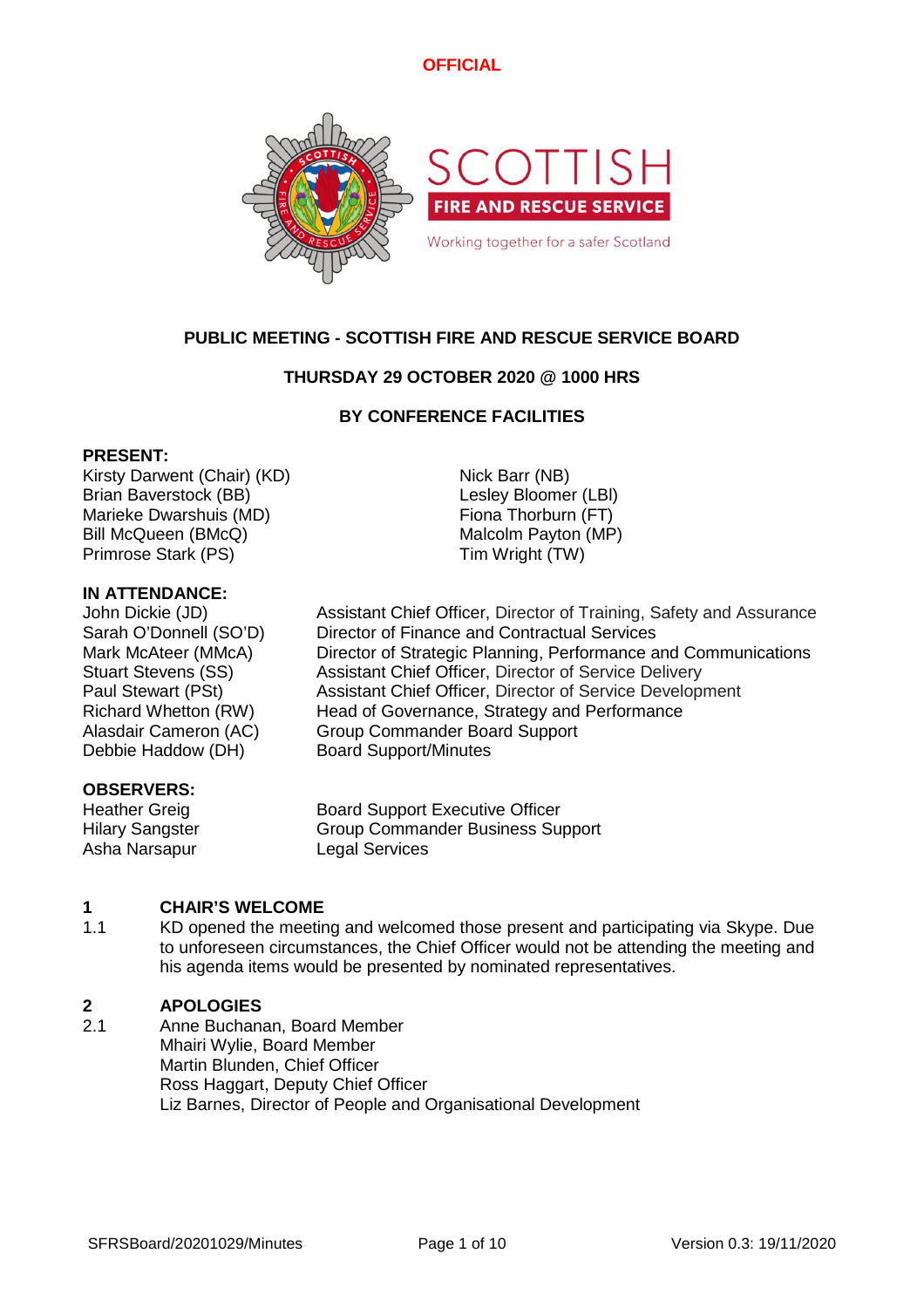

# **PUBLIC MEETING - SCOTTISH FIRE AND RESCUE SERVICE BOARD**

# **THURSDAY 29 OCTOBER 2020 @ 1000 HRS**

# **BY CONFERENCE FACILITIES**

### **PRESENT:**

Kirsty Darwent (Chair) (KD) Nick Barr (NB) Brian Baverstock (BB) Contract Contract Contract Lesley Bloomer (LBI) Marieke Dwarshuis (MD) Fiona Thorburn (FT) Bill McQueen (BMcQ) Malcolm Payton (MP) Primrose Stark (PS) Tim Wright (TW)

# **IN ATTENDANCE:**

Debbie Haddow (DH) Board Support/Minutes

### **OBSERVERS:**

Asha Narsapur Legal Services

John Dickie (JD) Assistant Chief Officer, Director of Training, Safety and Assurance Sarah O'Donnell (SO'D) Director of Finance and Contractual Services Mark McAteer (MMcA) Director of Strategic Planning, Performance and Communications Stuart Stevens (SS) Assistant Chief Officer, Director of Service Delivery Paul Stewart (PSt) Assistant Chief Officer, Director of Service Development Richard Whetton (RW) Head of Governance, Strategy and Performance Alasdair Cameron (AC) Group Commander Board Support

Heather Greig Board Support Executive Officer Hilary Sangster Group Commander Business Support

#### **1 CHAIR'S WELCOME**

1.1 KD opened the meeting and welcomed those present and participating via Skype. Due to unforeseen circumstances, the Chief Officer would not be attending the meeting and his agenda items would be presented by nominated representatives.

#### **2 APOLOGIES**

2.1 Anne Buchanan, Board Member Mhairi Wylie, Board Member Martin Blunden, Chief Officer Ross Haggart, Deputy Chief Officer Liz Barnes, Director of People and Organisational Development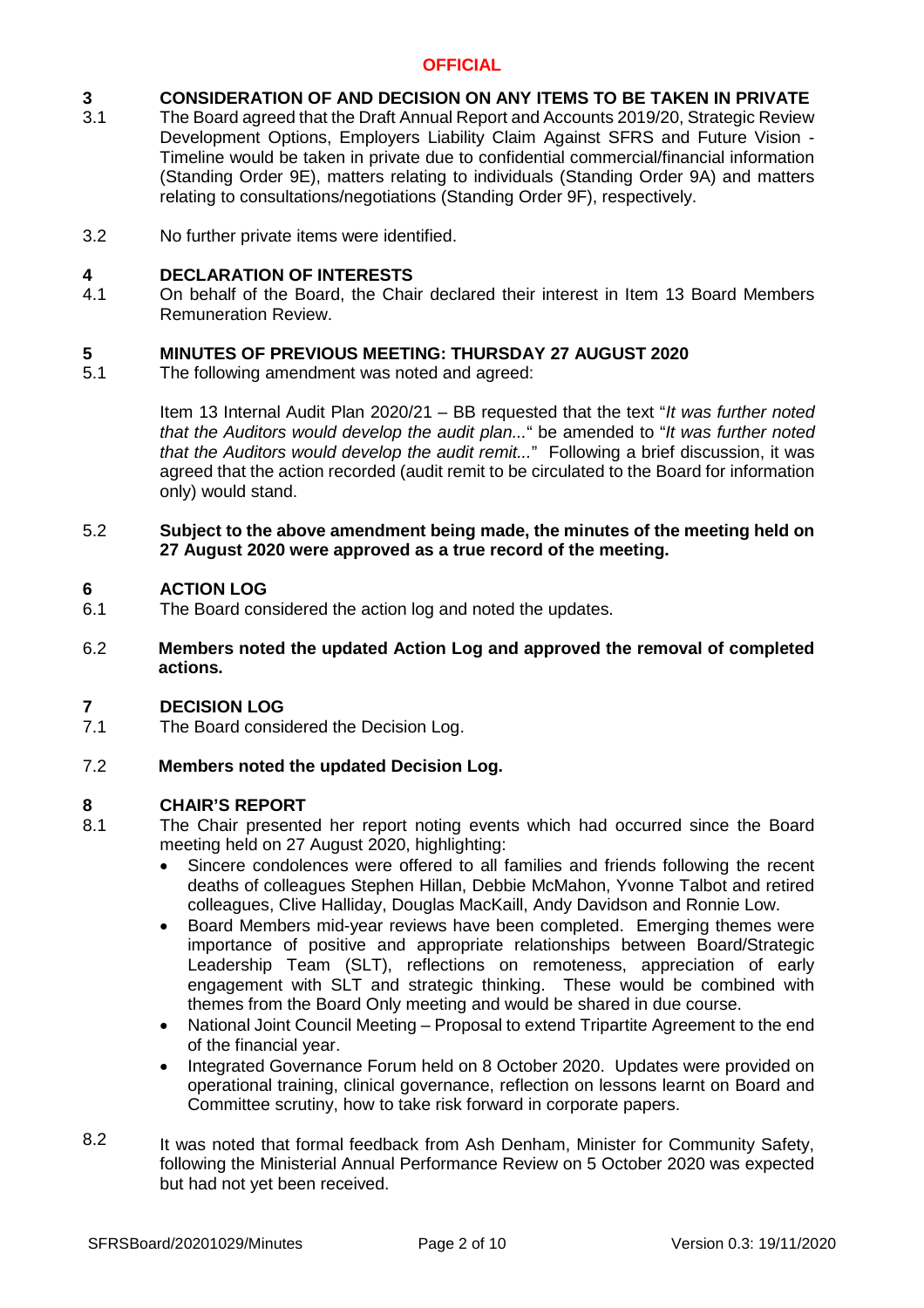#### **3 CONSIDERATION OF AND DECISION ON ANY ITEMS TO BE TAKEN IN PRIVATE**

- 3.1 The Board agreed that the Draft Annual Report and Accounts 2019/20, Strategic Review Development Options, Employers Liability Claim Against SFRS and Future Vision - Timeline would be taken in private due to confidential commercial/financial information (Standing Order 9E), matters relating to individuals (Standing Order 9A) and matters relating to consultations/negotiations (Standing Order 9F), respectively.
- 3.2 No further private items were identified.

#### **4 DECLARATION OF INTERESTS**

4.1 On behalf of the Board, the Chair declared their interest in Item 13 Board Members Remuneration Review.

#### **5 MINUTES OF PREVIOUS MEETING: THURSDAY 27 AUGUST 2020**

5.1 The following amendment was noted and agreed:

> Item 13 Internal Audit Plan 2020/21 – BB requested that the text "*It was further noted that the Auditors would develop the audit plan...*" be amended to "*It was further noted that the Auditors would develop the audit remit...*" Following a brief discussion, it was agreed that the action recorded (audit remit to be circulated to the Board for information only) would stand.

### 5.2 **Subject to the above amendment being made, the minutes of the meeting held on 27 August 2020 were approved as a true record of the meeting.**

#### **6 ACTION LOG**

- 6.1 The Board considered the action log and noted the updates.
- 6.2 **Members noted the updated Action Log and approved the removal of completed actions.**

#### **7 DECISION LOG**

7.1 The Board considered the Decision Log.

#### 7.2 **Members noted the updated Decision Log.**

### **8 CHAIR'S REPORT**

- 8.1 The Chair presented her report noting events which had occurred since the Board meeting held on 27 August 2020, highlighting:
	- Sincere condolences were offered to all families and friends following the recent deaths of colleagues Stephen Hillan, Debbie McMahon, Yvonne Talbot and retired colleagues, Clive Halliday, Douglas MacKaill, Andy Davidson and Ronnie Low.
	- Board Members mid-year reviews have been completed. Emerging themes were importance of positive and appropriate relationships between Board/Strategic Leadership Team (SLT), reflections on remoteness, appreciation of early engagement with SLT and strategic thinking. These would be combined with themes from the Board Only meeting and would be shared in due course.
	- National Joint Council Meeting Proposal to extend Tripartite Agreement to the end of the financial year.
	- Integrated Governance Forum held on 8 October 2020. Updates were provided on operational training, clinical governance, reflection on lessons learnt on Board and Committee scrutiny, how to take risk forward in corporate papers.
- 8.2 It was noted that formal feedback from Ash Denham, Minister for Community Safety, following the Ministerial Annual Performance Review on 5 October 2020 was expected but had not yet been received.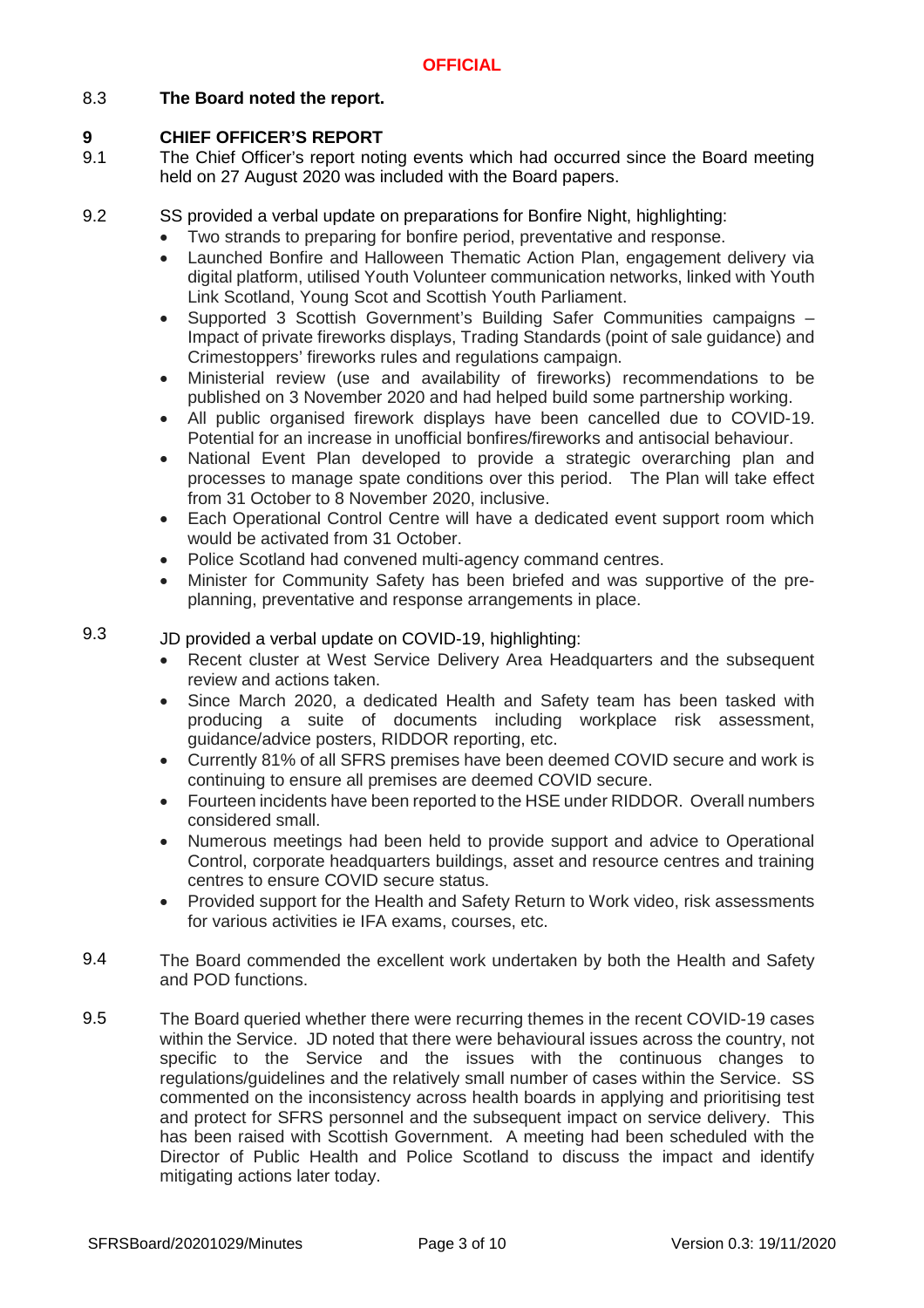# 8.3 **The Board noted the report.**

## **9 CHIEF OFFICER'S REPORT**

- 9.1 The Chief Officer's report noting events which had occurred since the Board meeting held on 27 August 2020 was included with the Board papers.
- 9.2 SS provided a verbal update on preparations for Bonfire Night, highlighting:
	- Two strands to preparing for bonfire period, preventative and response.
		- Launched Bonfire and Halloween Thematic Action Plan, engagement delivery via digital platform, utilised Youth Volunteer communication networks, linked with Youth Link Scotland, Young Scot and Scottish Youth Parliament.
		- Supported 3 Scottish Government's Building Safer Communities campaigns Impact of private fireworks displays, Trading Standards (point of sale guidance) and Crimestoppers' fireworks rules and regulations campaign.
		- Ministerial review (use and availability of fireworks) recommendations to be published on 3 November 2020 and had helped build some partnership working.
		- All public organised firework displays have been cancelled due to COVID-19. Potential for an increase in unofficial bonfires/fireworks and antisocial behaviour.
	- National Event Plan developed to provide a strategic overarching plan and processes to manage spate conditions over this period. The Plan will take effect from 31 October to 8 November 2020, inclusive.
	- Each Operational Control Centre will have a dedicated event support room which would be activated from 31 October.
	- Police Scotland had convened multi-agency command centres.
	- Minister for Community Safety has been briefed and was supportive of the preplanning, preventative and response arrangements in place.

### 9.3 JD provided a verbal update on COVID-19, highlighting:

- Recent cluster at West Service Delivery Area Headquarters and the subsequent review and actions taken.
- Since March 2020, a dedicated Health and Safety team has been tasked with producing a suite of documents including workplace risk assessment, guidance/advice posters, RIDDOR reporting, etc.
- Currently 81% of all SFRS premises have been deemed COVID secure and work is continuing to ensure all premises are deemed COVID secure.
- Fourteen incidents have been reported to the HSE under RIDDOR. Overall numbers considered small.
- Numerous meetings had been held to provide support and advice to Operational Control, corporate headquarters buildings, asset and resource centres and training centres to ensure COVID secure status.
- Provided support for the Health and Safety Return to Work video, risk assessments for various activities ie IFA exams, courses, etc.
- 9.4 The Board commended the excellent work undertaken by both the Health and Safety and POD functions.
- 9.5 The Board queried whether there were recurring themes in the recent COVID-19 cases within the Service. JD noted that there were behavioural issues across the country, not specific to the Service and the issues with the continuous changes to regulations/guidelines and the relatively small number of cases within the Service. SS commented on the inconsistency across health boards in applying and prioritising test and protect for SFRS personnel and the subsequent impact on service delivery. This has been raised with Scottish Government. A meeting had been scheduled with the Director of Public Health and Police Scotland to discuss the impact and identify mitigating actions later today.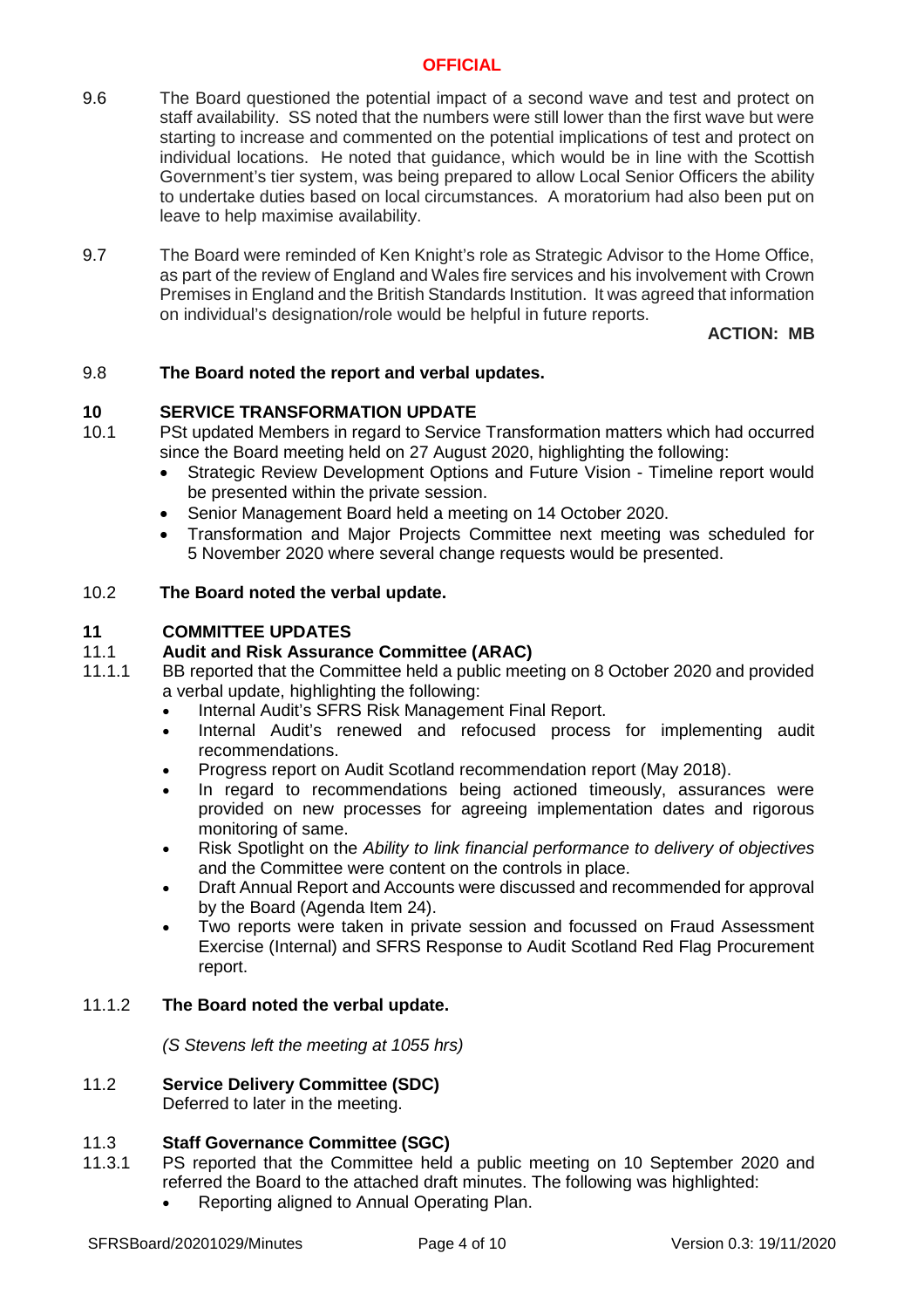- 9.6 The Board questioned the potential impact of a second wave and test and protect on staff availability. SS noted that the numbers were still lower than the first wave but were starting to increase and commented on the potential implications of test and protect on individual locations. He noted that guidance, which would be in line with the Scottish Government's tier system, was being prepared to allow Local Senior Officers the ability to undertake duties based on local circumstances. A moratorium had also been put on leave to help maximise availability.
- 9.7 The Board were reminded of Ken Knight's role as Strategic Advisor to the Home Office, as part of the review of England and Wales fire services and his involvement with Crown Premises in England and the British Standards Institution. It was agreed that information on individual's designation/role would be helpful in future reports.

# **ACTION: MB**

#### 9.8 **The Board noted the report and verbal updates.**

### **10 SERVICE TRANSFORMATION UPDATE**

- 10.1 PSt updated Members in regard to Service Transformation matters which had occurred since the Board meeting held on 27 August 2020, highlighting the following:
	- Strategic Review Development Options and Future Vision Timeline report would be presented within the private session.
	- Senior Management Board held a meeting on 14 October 2020.
	- Transformation and Major Projects Committee next meeting was scheduled for 5 November 2020 where several change requests would be presented.

#### 10.2 **The Board noted the verbal update.**

### **11 COMMITTEE UPDATES**

#### 11.1 **Audit and Risk Assurance Committee (ARAC)**

- 11.1.1 BB reported that the Committee held a public meeting on 8 October 2020 and provided a verbal update, highlighting the following:
	- Internal Audit's SFRS Risk Management Final Report.
	- Internal Audit's renewed and refocused process for implementing audit recommendations.
	- Progress report on Audit Scotland recommendation report (May 2018).
	- In regard to recommendations being actioned timeously, assurances were provided on new processes for agreeing implementation dates and rigorous monitoring of same.
	- Risk Spotlight on the *Ability to link financial performance to delivery of objectives* and the Committee were content on the controls in place.
	- Draft Annual Report and Accounts were discussed and recommended for approval by the Board (Agenda Item 24).
	- Two reports were taken in private session and focussed on Fraud Assessment Exercise (Internal) and SFRS Response to Audit Scotland Red Flag Procurement report.

#### 11.1.2 **The Board noted the verbal update.**

*(S Stevens left the meeting at 1055 hrs)*

### 11.2 **Service Delivery Committee (SDC)** Deferred to later in the meeting.

### 11.3 **Staff Governance Committee (SGC)**

- 11.3.1 PS reported that the Committee held a public meeting on 10 September 2020 and referred the Board to the attached draft minutes. The following was highlighted:
	- Reporting aligned to Annual Operating Plan.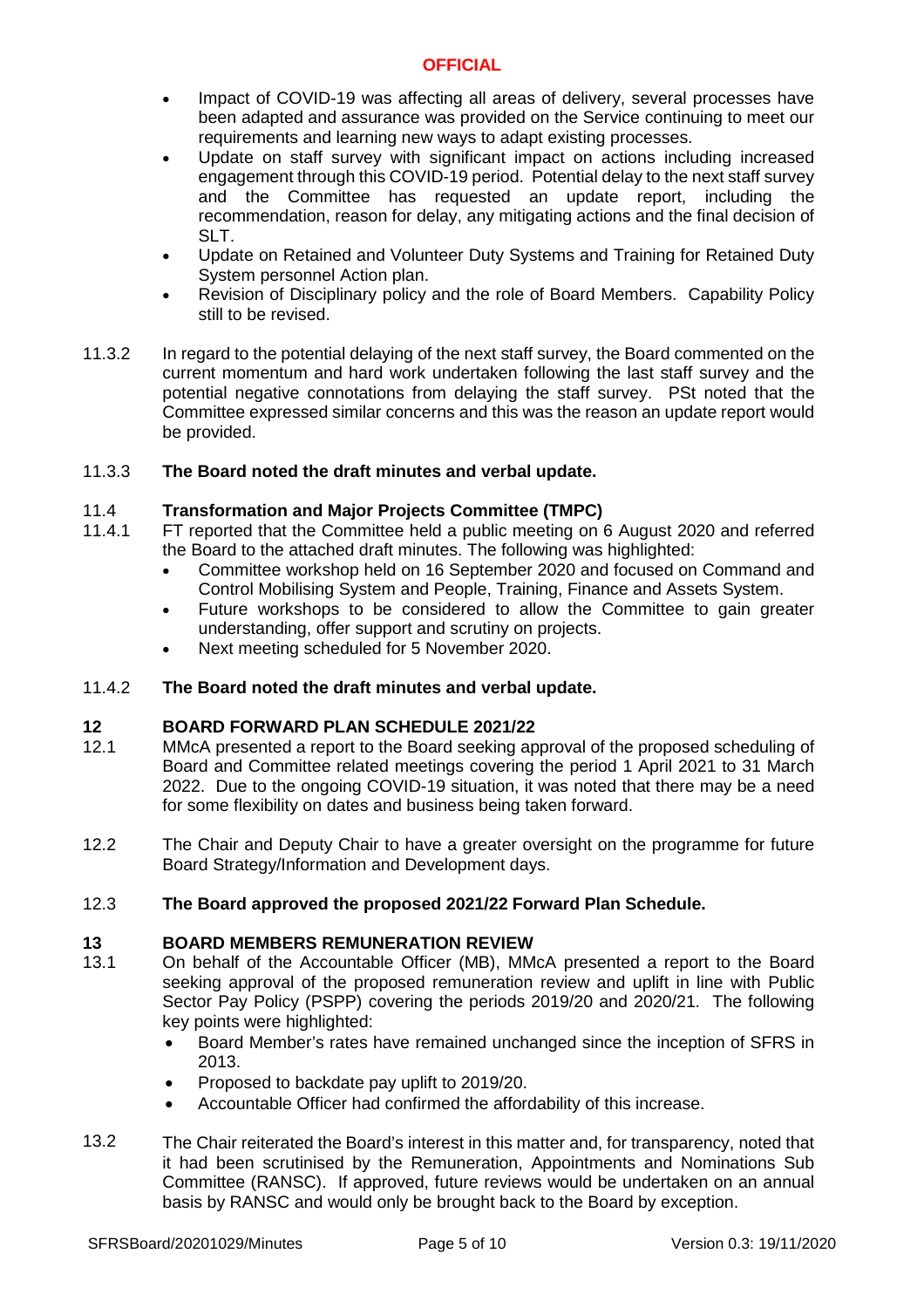- Impact of COVID-19 was affecting all areas of delivery, several processes have been adapted and assurance was provided on the Service continuing to meet our requirements and learning new ways to adapt existing processes.
- Update on staff survey with significant impact on actions including increased engagement through this COVID-19 period. Potential delay to the next staff survey and the Committee has requested an update report, including the recommendation, reason for delay, any mitigating actions and the final decision of SLT.
- Update on Retained and Volunteer Duty Systems and Training for Retained Duty System personnel Action plan.
- Revision of Disciplinary policy and the role of Board Members. Capability Policy still to be revised.
- 11.3.2 In regard to the potential delaying of the next staff survey, the Board commented on the current momentum and hard work undertaken following the last staff survey and the potential negative connotations from delaying the staff survey. PSt noted that the Committee expressed similar concerns and this was the reason an update report would be provided.

#### 11.3.3 **The Board noted the draft minutes and verbal update.**

#### 11.4 **Transformation and Major Projects Committee (TMPC)**

- 11.4.1 FT reported that the Committee held a public meeting on 6 August 2020 and referred the Board to the attached draft minutes. The following was highlighted:
	- Committee workshop held on 16 September 2020 and focused on Command and Control Mobilising System and People, Training, Finance and Assets System.
	- Future workshops to be considered to allow the Committee to gain greater understanding, offer support and scrutiny on projects.
	- Next meeting scheduled for 5 November 2020.

#### 11.4.2 **The Board noted the draft minutes and verbal update.**

# **12 BOARD FORWARD PLAN SCHEDULE 2021/22**

- 12.1 MMcA presented a report to the Board seeking approval of the proposed scheduling of Board and Committee related meetings covering the period 1 April 2021 to 31 March 2022. Due to the ongoing COVID-19 situation, it was noted that there may be a need for some flexibility on dates and business being taken forward.
- 12.2 The Chair and Deputy Chair to have a greater oversight on the programme for future Board Strategy/Information and Development days.

#### 12.3 **The Board approved the proposed 2021/22 Forward Plan Schedule.**

# **13 BOARD MEMBERS REMUNERATION REVIEW**

- 13.1 On behalf of the Accountable Officer (MB), MMcA presented a report to the Board seeking approval of the proposed remuneration review and uplift in line with Public Sector Pay Policy (PSPP) covering the periods 2019/20 and 2020/21. The following key points were highlighted:
	- Board Member's rates have remained unchanged since the inception of SFRS in 2013.
	- Proposed to backdate pay uplift to 2019/20.
	- Accountable Officer had confirmed the affordability of this increase.
- 13.2 The Chair reiterated the Board's interest in this matter and, for transparency, noted that it had been scrutinised by the Remuneration, Appointments and Nominations Sub Committee (RANSC). If approved, future reviews would be undertaken on an annual basis by RANSC and would only be brought back to the Board by exception.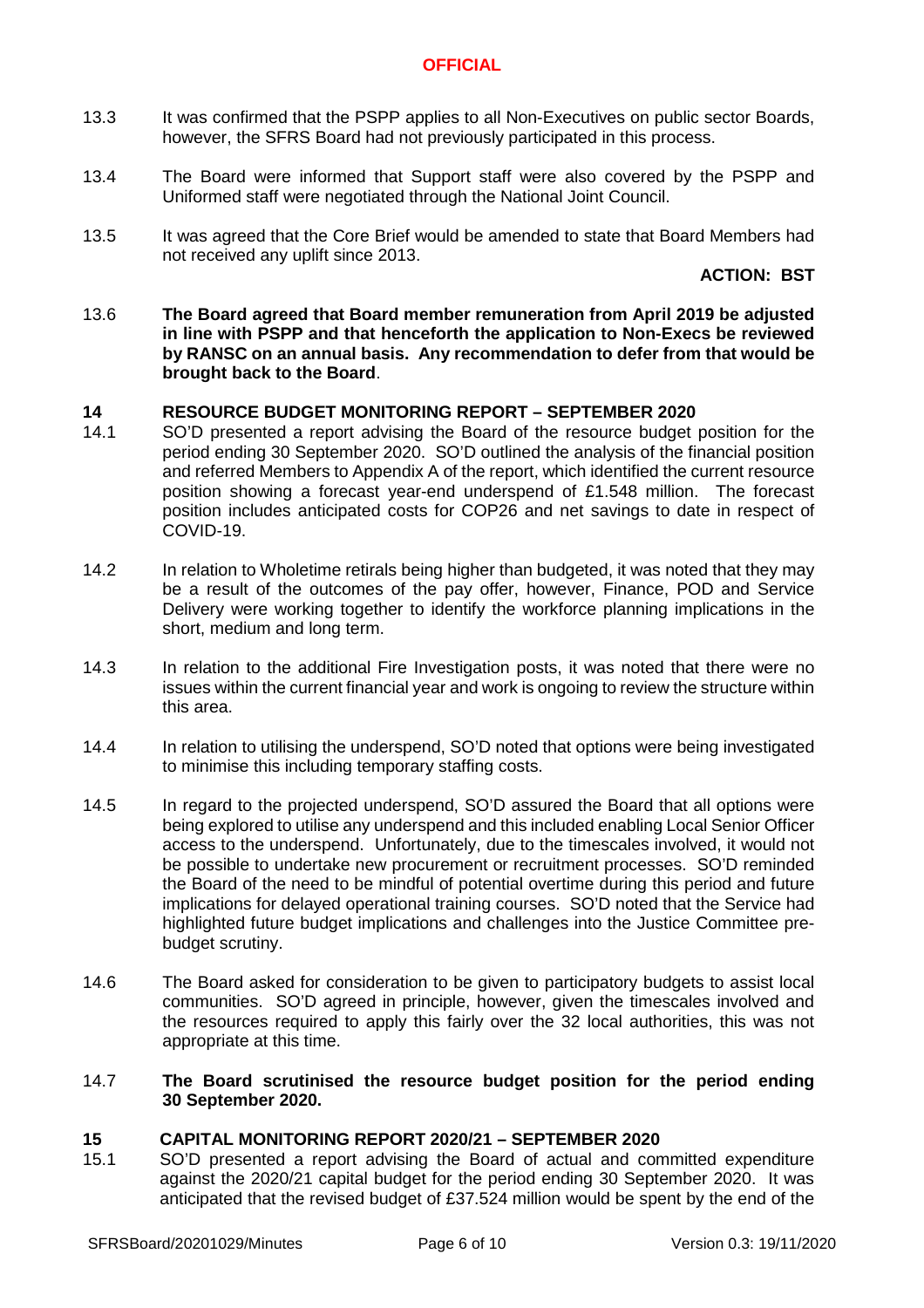- 13.3 It was confirmed that the PSPP applies to all Non-Executives on public sector Boards, however, the SFRS Board had not previously participated in this process.
- 13.4 The Board were informed that Support staff were also covered by the PSPP and Uniformed staff were negotiated through the National Joint Council.
- 13.5 It was agreed that the Core Brief would be amended to state that Board Members had not received any uplift since 2013.

### **ACTION: BST**

13.6 **The Board agreed that Board member remuneration from April 2019 be adjusted in line with PSPP and that henceforth the application to Non-Execs be reviewed by RANSC on an annual basis. Any recommendation to defer from that would be brought back to the Board**.

### **14 RESOURCE BUDGET MONITORING REPORT – SEPTEMBER 2020**

- 14.1 SO'D presented a report advising the Board of the resource budget position for the period ending 30 September 2020. SO'D outlined the analysis of the financial position and referred Members to Appendix A of the report, which identified the current resource position showing a forecast year-end underspend of £1.548 million. The forecast position includes anticipated costs for COP26 and net savings to date in respect of COVID-19.
- 14.2 In relation to Wholetime retirals being higher than budgeted, it was noted that they may be a result of the outcomes of the pay offer, however, Finance, POD and Service Delivery were working together to identify the workforce planning implications in the short, medium and long term.
- 14.3 In relation to the additional Fire Investigation posts, it was noted that there were no issues within the current financial year and work is ongoing to review the structure within this area.
- 14.4 In relation to utilising the underspend, SO'D noted that options were being investigated to minimise this including temporary staffing costs.
- 14.5 In regard to the projected underspend, SO'D assured the Board that all options were being explored to utilise any underspend and this included enabling Local Senior Officer access to the underspend. Unfortunately, due to the timescales involved, it would not be possible to undertake new procurement or recruitment processes. SO'D reminded the Board of the need to be mindful of potential overtime during this period and future implications for delayed operational training courses. SO'D noted that the Service had highlighted future budget implications and challenges into the Justice Committee prebudget scrutiny.
- 14.6 The Board asked for consideration to be given to participatory budgets to assist local communities. SO'D agreed in principle, however, given the timescales involved and the resources required to apply this fairly over the 32 local authorities, this was not appropriate at this time.

### 14.7 **The Board scrutinised the resource budget position for the period ending 30 September 2020.**

### **15 CAPITAL MONITORING REPORT 2020/21 – SEPTEMBER 2020**

15.1 SO'D presented a report advising the Board of actual and committed expenditure against the 2020/21 capital budget for the period ending 30 September 2020. It was anticipated that the revised budget of £37.524 million would be spent by the end of the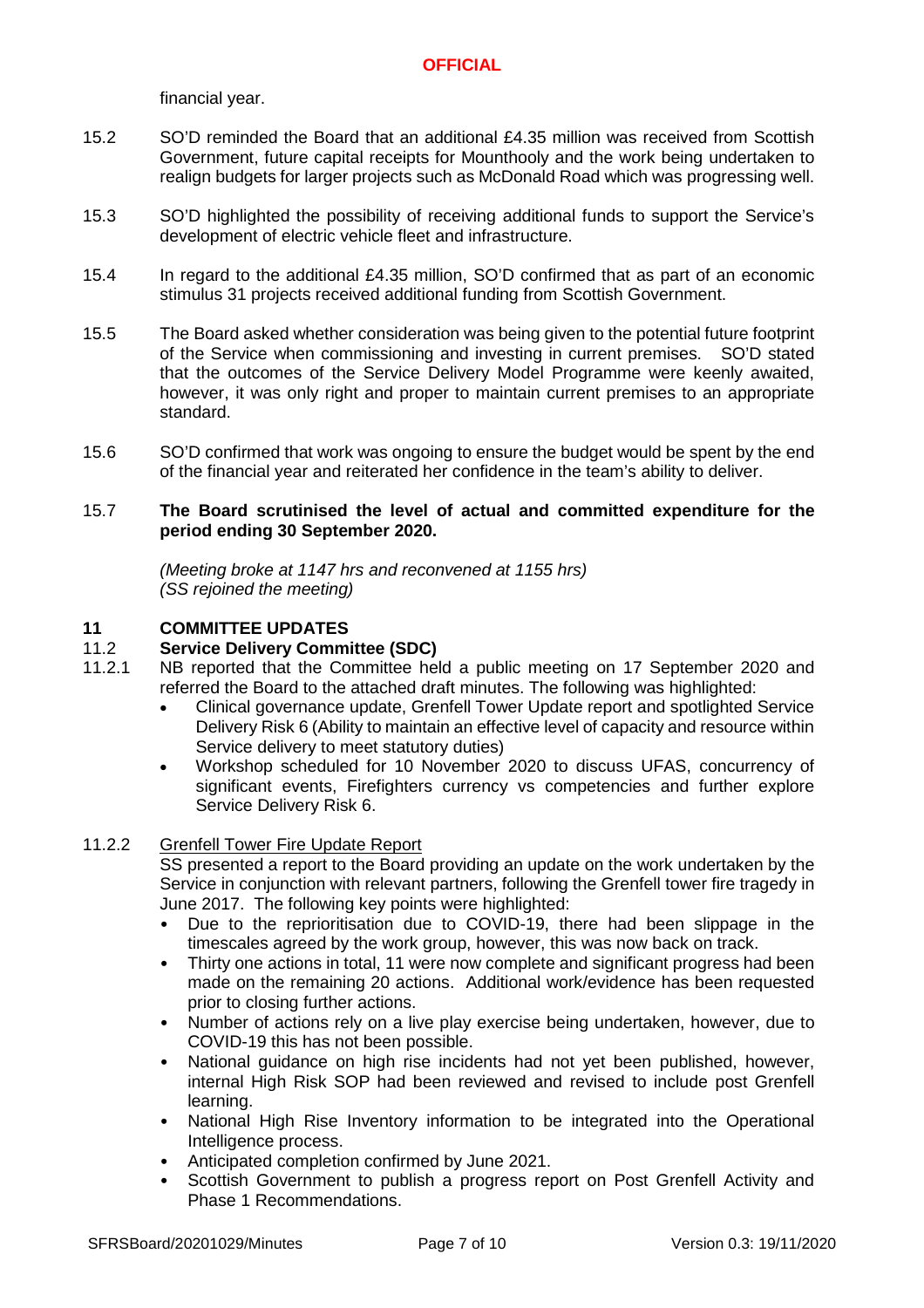financial year.

- 15.2 SO'D reminded the Board that an additional £4.35 million was received from Scottish Government, future capital receipts for Mounthooly and the work being undertaken to realign budgets for larger projects such as McDonald Road which was progressing well.
- 15.3 SO'D highlighted the possibility of receiving additional funds to support the Service's development of electric vehicle fleet and infrastructure.
- 15.4 In regard to the additional £4.35 million, SO'D confirmed that as part of an economic stimulus 31 projects received additional funding from Scottish Government.
- 15.5 The Board asked whether consideration was being given to the potential future footprint of the Service when commissioning and investing in current premises. SO'D stated that the outcomes of the Service Delivery Model Programme were keenly awaited, however, it was only right and proper to maintain current premises to an appropriate standard.
- 15.6 SO'D confirmed that work was ongoing to ensure the budget would be spent by the end of the financial year and reiterated her confidence in the team's ability to deliver.

### 15.7 **The Board scrutinised the level of actual and committed expenditure for the period ending 30 September 2020.**

*(Meeting broke at 1147 hrs and reconvened at 1155 hrs) (SS rejoined the meeting)*

#### **11 COMMITTEE UPDATES**

#### 11.2 **Service Delivery Committee (SDC)**

- 11.2.1 NB reported that the Committee held a public meeting on 17 September 2020 and referred the Board to the attached draft minutes. The following was highlighted:
	- Clinical governance update, Grenfell Tower Update report and spotlighted Service Delivery Risk 6 (Ability to maintain an effective level of capacity and resource within Service delivery to meet statutory duties)
	- Workshop scheduled for 10 November 2020 to discuss UFAS, concurrency of significant events, Firefighters currency vs competencies and further explore Service Delivery Risk 6.

#### 11.2.2 Grenfell Tower Fire Update Report

SS presented a report to the Board providing an update on the work undertaken by the Service in conjunction with relevant partners, following the Grenfell tower fire tragedy in June 2017. The following key points were highlighted:

- Due to the reprioritisation due to COVID-19, there had been slippage in the timescales agreed by the work group, however, this was now back on track.
- Thirty one actions in total, 11 were now complete and significant progress had been made on the remaining 20 actions. Additional work/evidence has been requested prior to closing further actions.
- Number of actions rely on a live play exercise being undertaken, however, due to COVID-19 this has not been possible.
- National guidance on high rise incidents had not yet been published, however, internal High Risk SOP had been reviewed and revised to include post Grenfell learning.
- National High Rise Inventory information to be integrated into the Operational Intelligence process.
- Anticipated completion confirmed by June 2021.
- Scottish Government to publish a progress report on Post Grenfell Activity and Phase 1 Recommendations.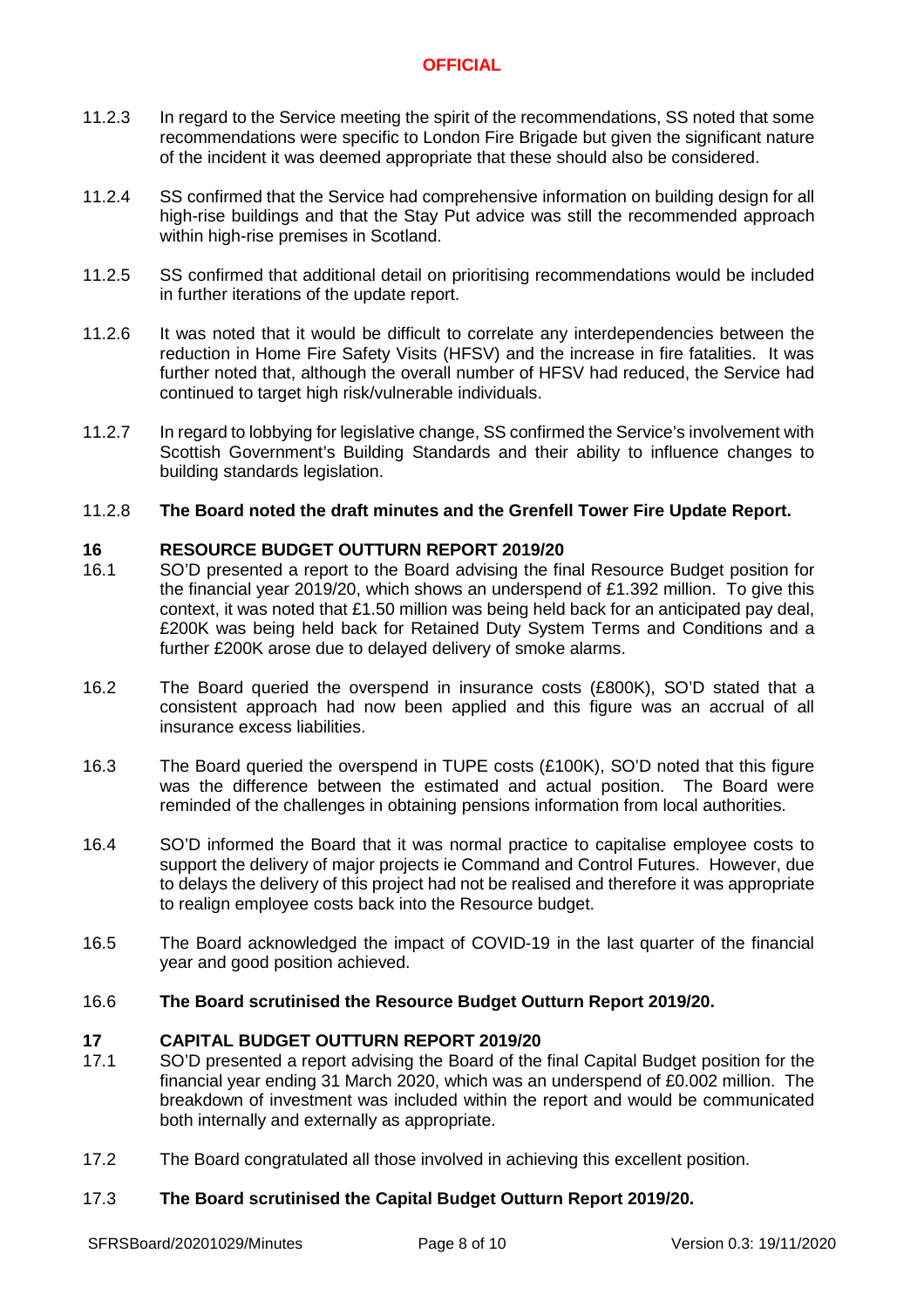- 11.2.3 In regard to the Service meeting the spirit of the recommendations, SS noted that some recommendations were specific to London Fire Brigade but given the significant nature of the incident it was deemed appropriate that these should also be considered.
- 11.2.4 SS confirmed that the Service had comprehensive information on building design for all high-rise buildings and that the Stay Put advice was still the recommended approach within high-rise premises in Scotland.
- 11.2.5 SS confirmed that additional detail on prioritising recommendations would be included in further iterations of the update report.
- 11.2.6 It was noted that it would be difficult to correlate any interdependencies between the reduction in Home Fire Safety Visits (HFSV) and the increase in fire fatalities. It was further noted that, although the overall number of HFSV had reduced, the Service had continued to target high risk/vulnerable individuals.
- 11.2.7 In regard to lobbying for legislative change, SS confirmed the Service's involvement with Scottish Government's Building Standards and their ability to influence changes to building standards legislation.

#### 11.2.8 **The Board noted the draft minutes and the Grenfell Tower Fire Update Report.**

# **16 RESOURCE BUDGET OUTTURN REPORT 2019/20**

- 16.1 SO'D presented a report to the Board advising the final Resource Budget position for the financial year 2019/20, which shows an underspend of £1.392 million. To give this context, it was noted that £1.50 million was being held back for an anticipated pay deal, £200K was being held back for Retained Duty System Terms and Conditions and a further £200K arose due to delayed delivery of smoke alarms.
- 16.2 The Board queried the overspend in insurance costs (£800K), SO'D stated that a consistent approach had now been applied and this figure was an accrual of all insurance excess liabilities.
- 16.3 The Board queried the overspend in TUPE costs (£100K), SO'D noted that this figure was the difference between the estimated and actual position. The Board were reminded of the challenges in obtaining pensions information from local authorities.
- 16.4 SO'D informed the Board that it was normal practice to capitalise employee costs to support the delivery of major projects ie Command and Control Futures. However, due to delays the delivery of this project had not be realised and therefore it was appropriate to realign employee costs back into the Resource budget.
- 16.5 The Board acknowledged the impact of COVID-19 in the last quarter of the financial year and good position achieved.

#### 16.6 **The Board scrutinised the Resource Budget Outturn Report 2019/20.**

# **17 CAPITAL BUDGET OUTTURN REPORT 2019/20**

- 17.1 SO'D presented a report advising the Board of the final Capital Budget position for the financial year ending 31 March 2020, which was an underspend of £0.002 million. The breakdown of investment was included within the report and would be communicated both internally and externally as appropriate.
- 17.2 The Board congratulated all those involved in achieving this excellent position.

#### 17.3 **The Board scrutinised the Capital Budget Outturn Report 2019/20.**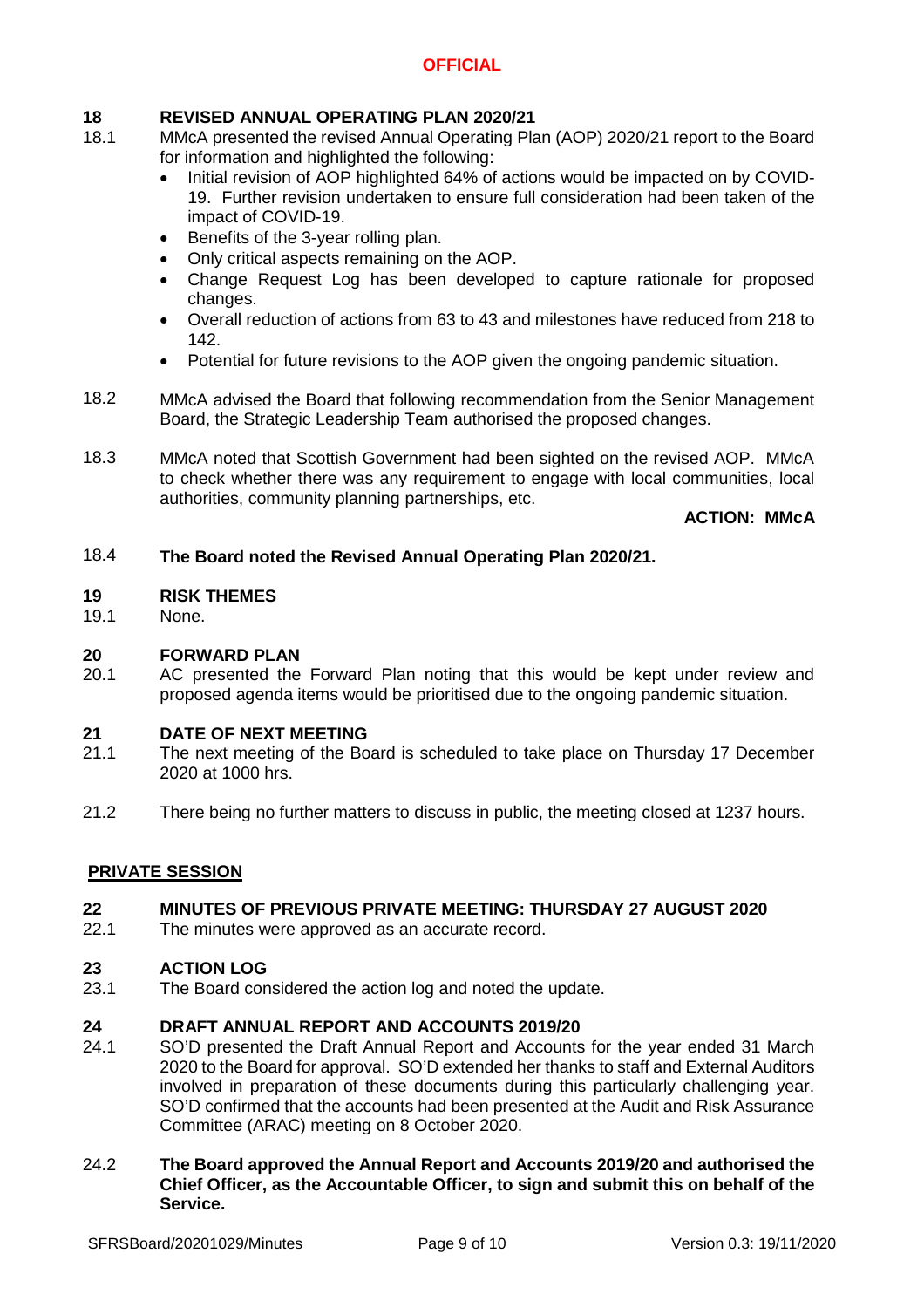# **18 REVISED ANNUAL OPERATING PLAN 2020/21**

- 18.1 MMcA presented the revised Annual Operating Plan (AOP) 2020/21 report to the Board for information and highlighted the following:
	- Initial revision of AOP highlighted 64% of actions would be impacted on by COVID-19. Further revision undertaken to ensure full consideration had been taken of the impact of COVID-19.
	- Benefits of the 3-year rolling plan.
	- Only critical aspects remaining on the AOP.
	- Change Request Log has been developed to capture rationale for proposed changes.
	- Overall reduction of actions from 63 to 43 and milestones have reduced from 218 to 142.
	- Potential for future revisions to the AOP given the ongoing pandemic situation.
- 18.2 MMcA advised the Board that following recommendation from the Senior Management Board, the Strategic Leadership Team authorised the proposed changes.
- 18.3 MMcA noted that Scottish Government had been sighted on the revised AOP. MMcA to check whether there was any requirement to engage with local communities, local authorities, community planning partnerships, etc.

**ACTION: MMcA**

#### 18.4 **The Board noted the Revised Annual Operating Plan 2020/21.**

### **19 RISK THEMES**

19.1 None.

# **20 FORWARD PLAN**

20.1 AC presented the Forward Plan noting that this would be kept under review and proposed agenda items would be prioritised due to the ongoing pandemic situation.

### **21 DATE OF NEXT MEETING**

- 21.1 The next meeting of the Board is scheduled to take place on Thursday 17 December 2020 at 1000 hrs.
- 21.2 There being no further matters to discuss in public, the meeting closed at 1237 hours.

# **PRIVATE SESSION**

#### **22 MINUTES OF PREVIOUS PRIVATE MEETING: THURSDAY 27 AUGUST 2020**

22.1 The minutes were approved as an accurate record.

### **23 ACTION LOG**

23.1 The Board considered the action log and noted the update.

# **24 DRAFT ANNUAL REPORT AND ACCOUNTS 2019/20**

24.1 SO'D presented the Draft Annual Report and Accounts for the year ended 31 March 2020 to the Board for approval. SO'D extended her thanks to staff and External Auditors involved in preparation of these documents during this particularly challenging year. SO'D confirmed that the accounts had been presented at the Audit and Risk Assurance Committee (ARAC) meeting on 8 October 2020.

### 24.2 **The Board approved the Annual Report and Accounts 2019/20 and authorised the Chief Officer, as the Accountable Officer, to sign and submit this on behalf of the Service.**